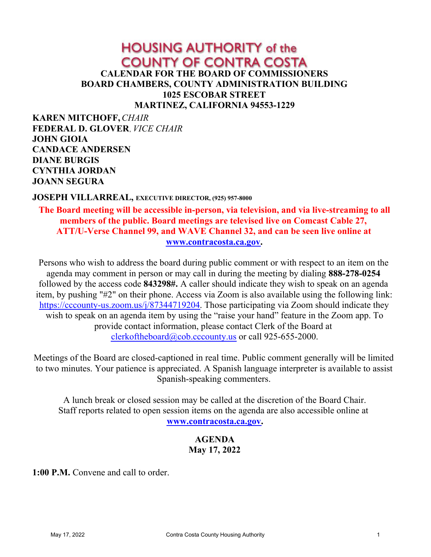# **HOUSING AUTHORITY of the COUNTY OF CONTRA COSTA CALENDAR FOR THE BOARD OF COMMISSIONERS BOARD CHAMBERS, COUNTY ADMINISTRATION BUILDING 1025 ESCOBAR STREET MARTINEZ, CALIFORNIA 94553-1229**

**KAREN MITCHOFF,***CHAIR* **FEDERAL D. GLOVER**, *VICE CHAIR* **JOHN GIOIA CANDACE ANDERSEN DIANE BURGIS CYNTHIA JORDAN JOANN SEGURA**

#### **JOSEPH VILLARREAL, EXECUTIVE DIRECTOR, (925) 957-8000**

**The Board meeting will be accessible in-person, via television, and via live-streaming to all members of the public. Board meetings are televised live on Comcast Cable 27, ATT/U-Verse Channel 99, and WAVE Channel 32, and can be seen live online at [www.contracosta.ca.gov](http://www.contracosta.ca.gov).**

Persons who wish to address the board during public comment or with respect to an item on the agenda may comment in person or may call in during the meeting by dialing **888-278-0254**  followed by the access code **843298#.** A caller should indicate they wish to speak on an agenda item, by pushing "#2" on their phone. Access via Zoom is also available using the following link: [https://cccounty-us.zoom.us/j/87344719204](https://gcc02.safelinks.protection.outlook.com/?url=https%3A%2F%2Fcccounty-us.zoom.us%2Fj%2F87344719204&data=04%7C01%7CJoellen.Bergamini%40cao.cccounty.us%7C4d9b6227de954fe4fdb808d9b8d16d66%7C76c13a07612f4e06a2f4783d69dc4cdb%7C0%7C0%7C637744031886981006%7CUnknown%7CTWFpbGZsb3d8eyJWIjoiMC4wLjAwMDAiLCJQIjoiV2luMzIiLCJBTiI6Ik1haWwiLCJXVCI6Mn0%3D%7C3000&sdata=PKdsuFsellHoX%2FaeSL%2FlrRto8FhurbtdJAV74tAjvI8%3D&reserved=0). Those participating via Zoom should indicate they wish to speak on an agenda item by using the "raise your hand" feature in the Zoom app. To provide contact information, please contact Clerk of the Board at [clerkoftheboard@cob.cccounty.us](mailto:clerkoftheboard@cob.cccounty.us) or call 925-655-2000.

Meetings of the Board are closed-captioned in real time. Public comment generally will be limited to two minutes. Your patience is appreciated. A Spanish language interpreter is available to assist Spanish-speaking commenters.

A lunch break or closed session may be called at the discretion of the Board Chair. Staff reports related to open session items on the agenda are also accessible online at **[www.contracosta.ca.gov](http://www.contracosta.ca.gov).**

### **AGENDA May 17, 2022**

**1:00 P.M.** Convene and call to order.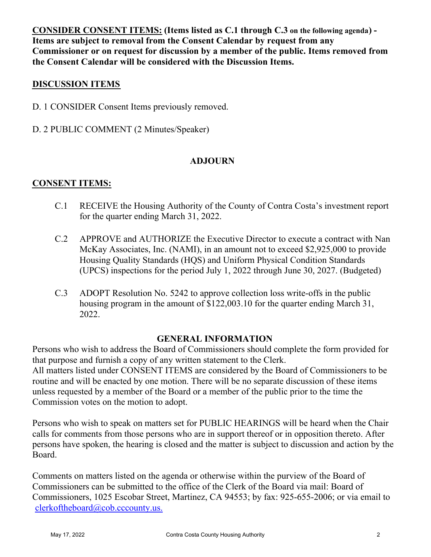**CONSIDER CONSENT ITEMS: (Items listed as C.1 through C.3 on the following agenda) - Items are subject to removal from the Consent Calendar by request from any Commissioner or on request for discussion by a member of the public. Items removed from the Consent Calendar will be considered with the Discussion Items.**

### **DISCUSSION ITEMS**

- D. 1 CONSIDER Consent Items previously removed.
- D. 2 PUBLIC COMMENT (2 Minutes/Speaker)

# **ADJOURN**

# **CONSENT ITEMS:**

- C.1 RECEIVE the Housing Authority of the County of Contra Costa's investment report for the quarter ending March 31, 2022.
- C.2 APPROVE and AUTHORIZE the Executive Director to execute a contract with Nan McKay Associates, Inc. (NAMI), in an amount not to exceed \$2,925,000 to provide Housing Quality Standards (HQS) and Uniform Physical Condition Standards (UPCS) inspections for the period July 1, 2022 through June 30, 2027. (Budgeted)
- C.3 ADOPT Resolution No. 5242 to approve collection loss write-offs in the public housing program in the amount of \$122,003.10 for the quarter ending March 31, 2022.

#### **GENERAL INFORMATION**

Persons who wish to address the Board of Commissioners should complete the form provided for that purpose and furnish a copy of any written statement to the Clerk. All matters listed under CONSENT ITEMS are considered by the Board of Commissioners to be routine and will be enacted by one motion. There will be no separate discussion of these items unless requested by a member of the Board or a member of the public prior to the time the Commission votes on the motion to adopt.

Persons who wish to speak on matters set for PUBLIC HEARINGS will be heard when the Chair calls for comments from those persons who are in support thereof or in opposition thereto. After persons have spoken, the hearing is closed and the matter is subject to discussion and action by the Board.

Comments on matters listed on the agenda or otherwise within the purview of the Board of Commissioners can be submitted to the office of the Clerk of the Board via mail: Board of Commissioners, 1025 Escobar Street, Martinez, CA 94553; by fax: 925-655-2006; or via email to [clerkoftheboard@cob.cccounty.us.](mailto:clerkoftheboard@cob.cccounty.us)